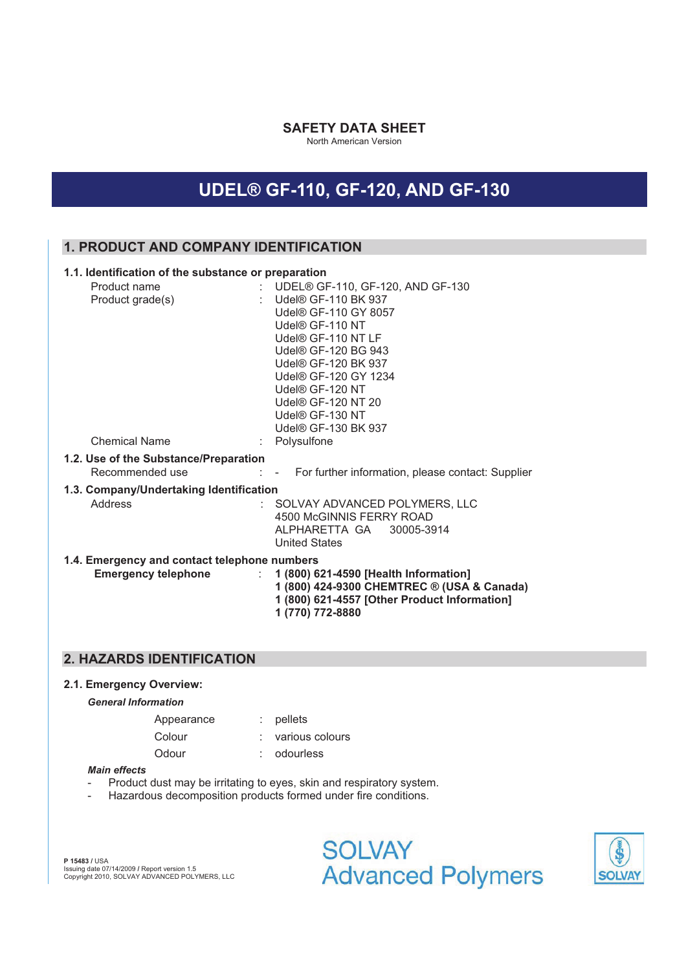### **SAFETY DATA SHEET**

North American Version

# **UDEL® GF-110, GF-120, AND GF-130**

# **1. PRODUCT AND COMPANY IDENTIFICATION**

| 1.1. Identification of the substance or preparation      |                                                                                                                                                                                                                                                                                       |
|----------------------------------------------------------|---------------------------------------------------------------------------------------------------------------------------------------------------------------------------------------------------------------------------------------------------------------------------------------|
| Product name<br>Product grade(s)                         | : UDEL® GF-110, GF-120, AND GF-130<br>: Udel® GF-110 BK 937<br>Udel® GF-110 GY 8057<br>Udel® GF-110 NT<br>Udel® GF-110 NT LF<br>Udel® GF-120 BG 943<br>Udel® GF-120 BK 937<br>Udel® GF-120 GY 1234<br>Udel® GF-120 NT<br>Udel® GF-120 NT 20<br>Udel® GF-130 NT<br>Udel® GF-130 BK 937 |
| <b>Chemical Name</b>                                     | : Polysulfone                                                                                                                                                                                                                                                                         |
| 1.2. Use of the Substance/Preparation<br>Recommended use | : - For further information, please contact: Supplier                                                                                                                                                                                                                                 |
| 1.3. Company/Undertaking Identification<br>Address       | : SOLVAY ADVANCED POLYMERS, LLC<br>4500 McGINNIS FERRY ROAD<br>ALPHARETTA GA<br>30005-3914<br><b>United States</b>                                                                                                                                                                    |
| 1.4. Emergency and contact telephone numbers             |                                                                                                                                                                                                                                                                                       |
|                                                          | Emergency telephone : 1 (800) 621-4590 [Health Information]<br>1 (800) 424-9300 CHEMTREC ® (USA & Canada)<br>1 (800) 621-4557 [Other Product Information]<br>1 (770) 772-8880                                                                                                         |

# **2. HAZARDS IDENTIFICATION**

#### **2.1. Emergency Overview:**

#### *General Information*

| Appearance | $:$ pellets         |
|------------|---------------------|
| Colour     | $:$ various colours |
| Odour      | odourless           |

#### *Main effects*

- Product dust may be irritating to eyes, skin and respiratory system.
- Hazardous decomposition products formed under fire conditions.

**P 15483 /** USA Issuing date 07/14/2009 **/** Report version 1.5 Copyright 2010, SOLVAY ADVANCED POLYMERS, LLC

**SOLVAY Advanced Polymers** 

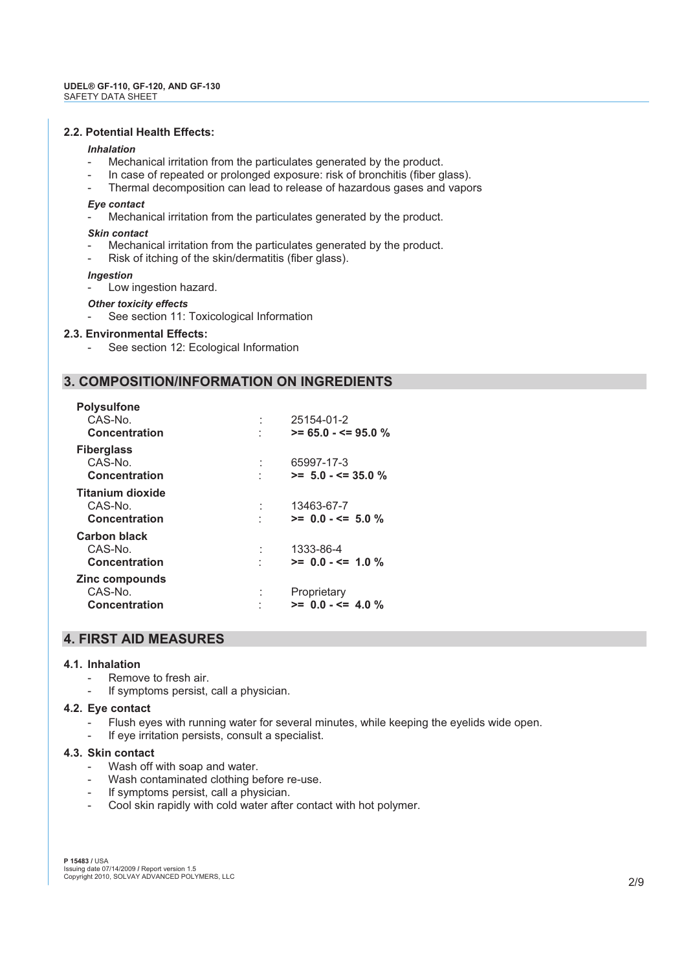### **2.2. Potential Health Effects:**

#### *Inhalation*

- Mechanical irritation from the particulates generated by the product.
- In case of repeated or prolonged exposure: risk of bronchitis (fiber glass).
- Thermal decomposition can lead to release of hazardous gases and vapors

#### *Eye contact*

Mechanical irritation from the particulates generated by the product.

#### *Skin contact*

- Mechanical irritation from the particulates generated by the product.
- Risk of itching of the skin/dermatitis (fiber glass).

#### *Ingestion*

Low ingestion hazard.

#### *Other toxicity effects*

See section 11: Toxicological Information

#### **2.3. Environmental Effects:**

See section 12: Ecological Information

# **3. COMPOSITION/INFORMATION ON INGREDIENTS**

| <b>Polysulfone</b><br>CAS-No.<br>Concentration             | 25154-01-2<br>$>= 65.0 - \le 95.0$ % |
|------------------------------------------------------------|--------------------------------------|
| <b>Fiberglass</b><br>CAS-No.<br><b>Concentration</b>       | 65997-17-3<br>$>= 5.0 - 5 = 35.0$ %  |
| <b>Titanium dioxide</b><br>CAS-No.<br><b>Concentration</b> | 13463-67-7<br>$>= 0.0 - \le 5.0$ %   |
| <b>Carbon black</b><br>CAS-No.<br><b>Concentration</b>     | 1333-86-4<br>$>= 0.0 - \le 1.0 \%$   |
| Zinc compounds<br>CAS-No.<br><b>Concentration</b>          | Proprietary<br>$>= 0.0 - \le 4.0$ %  |

# **4. FIRST AID MEASURES**

#### **4.1. Inhalation**

- Remove to fresh air.
- If symptoms persist, call a physician.

#### **4.2. Eye contact**

- Flush eyes with running water for several minutes, while keeping the eyelids wide open.
- If eye irritation persists, consult a specialist.

#### **4.3. Skin contact**

- Wash off with soap and water.
- Wash contaminated clothing before re-use.
- If symptoms persist, call a physician.
- Cool skin rapidly with cold water after contact with hot polymer.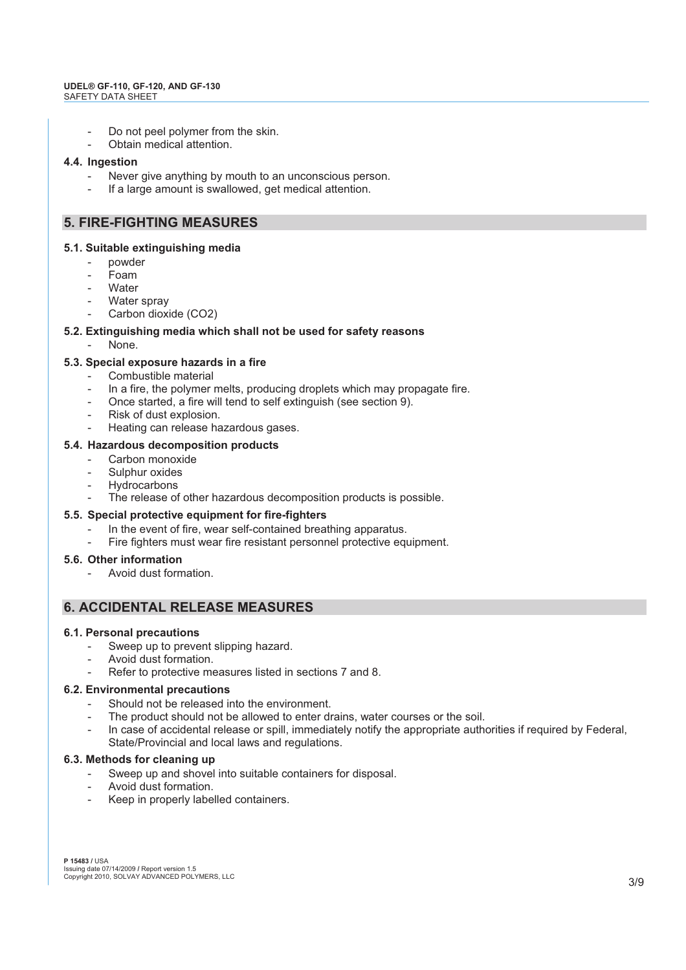#### **UDEL® GF-110, GF-120, AND GF-130**  SAFETY DATA SHEET

- Do not peel polymer from the skin.
- Obtain medical attention.

#### **4.4. Ingestion**

- Never give anything by mouth to an unconscious person.
- If a large amount is swallowed, get medical attention.

# **5. FIRE-FIGHTING MEASURES**

#### **5.1. Suitable extinguishing media**

- powder
- Foam
- Water
- Water spray
- Carbon dioxide (CO2)

#### **5.2. Extinguishing media which shall not be used for safety reasons**

None.

#### **5.3. Special exposure hazards in a fire**

- Combustible material
- In a fire, the polymer melts, producing droplets which may propagate fire.
- Once started, a fire will tend to self extinguish (see section 9).
- Risk of dust explosion.
- Heating can release hazardous gases.

#### **5.4. Hazardous decomposition products**

- Carbon monoxide
- Sulphur oxides
- **Hydrocarbons**
- The release of other hazardous decomposition products is possible.

#### **5.5. Special protective equipment for fire-fighters**

- In the event of fire, wear self-contained breathing apparatus.
- Fire fighters must wear fire resistant personnel protective equipment.

#### **5.6. Other information**

- Avoid dust formation.

# **6. ACCIDENTAL RELEASE MEASURES**

#### **6.1. Personal precautions**

- Sweep up to prevent slipping hazard.
- Avoid dust formation.
- Refer to protective measures listed in sections 7 and 8.

#### **6.2. Environmental precautions**

- Should not be released into the environment.
- The product should not be allowed to enter drains, water courses or the soil.
- In case of accidental release or spill, immediately notify the appropriate authorities if required by Federal, State/Provincial and local laws and regulations.

#### **6.3. Methods for cleaning up**

- Sweep up and shovel into suitable containers for disposal.
- Avoid dust formation.
- Keep in properly labelled containers.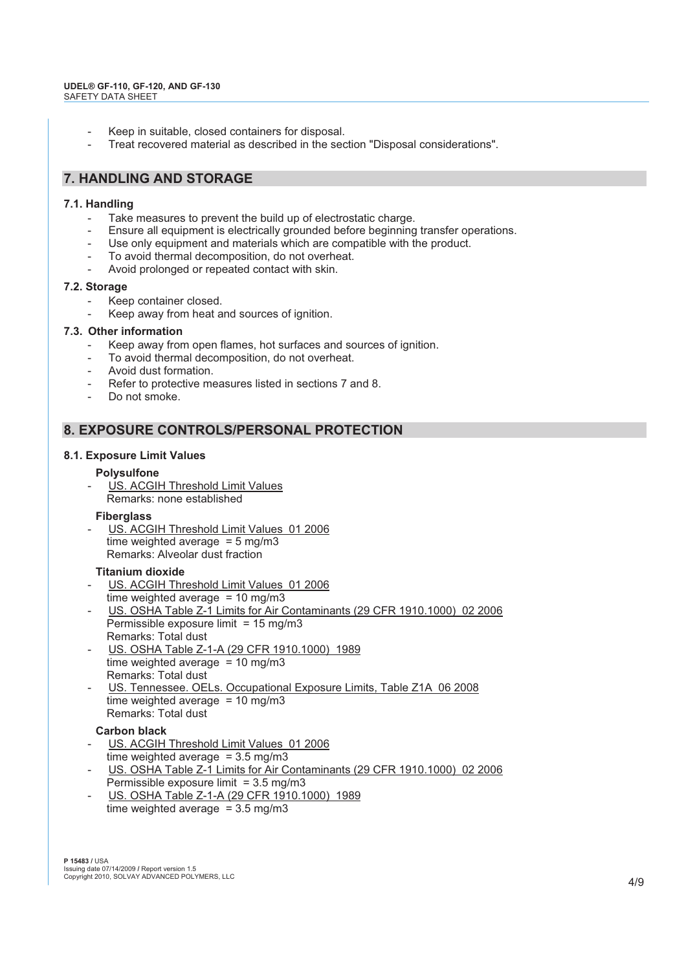- Keep in suitable, closed containers for disposal.
- Treat recovered material as described in the section "Disposal considerations".

# **7. HANDLING AND STORAGE**

### **7.1. Handling**

- Take measures to prevent the build up of electrostatic charge.
- Ensure all equipment is electrically grounded before beginning transfer operations.
- Use only equipment and materials which are compatible with the product.
- To avoid thermal decomposition, do not overheat.
- Avoid prolonged or repeated contact with skin.

### **7.2. Storage**

- Keep container closed.
- Keep away from heat and sources of ignition.

### **7.3. Other information**

- Keep away from open flames, hot surfaces and sources of ignition.
- To avoid thermal decomposition, do not overheat.
- Avoid dust formation.
- Refer to protective measures listed in sections 7 and 8.
- Do not smoke.

# **8. EXPOSURE CONTROLS/PERSONAL PROTECTION**

### **8.1. Exposure Limit Values**

#### **Polysulfone**

US. ACGIH Threshold Limit Values Remarks: none established

#### **Fiberglass**

US. ACGIH Threshold Limit Values 01 2006 time weighted average  $= 5$  mg/m3 Remarks: Alveolar dust fraction

#### **Titanium dioxide**

- US. ACGIH Threshold Limit Values 01 2006 time weighted average  $= 10$  mg/m3
- US. OSHA Table Z-1 Limits for Air Contaminants (29 CFR 1910.1000) 02 2006 Permissible exposure limit = 15 mg/m3 Remarks: Total dust
- US. OSHA Table Z-1-A (29 CFR 1910.1000) 1989 time weighted average  $= 10$  mg/m3 Remarks: Total dust
- US. Tennessee. OELs. Occupational Exposure Limits, Table Z1A 06 2008 time weighted average  $= 10$  mg/m3 Remarks: Total dust

# **Carbon black**

- US. ACGIH Threshold Limit Values 01 2006 time weighted average  $= 3.5$  mg/m3
- US. OSHA Table Z-1 Limits for Air Contaminants (29 CFR 1910.1000) 02 2006
- Permissible exposure limit = 3.5 mg/m3
- US. OSHA Table Z-1-A (29 CFR 1910.1000) 1989 time weighted average  $= 3.5$  mg/m3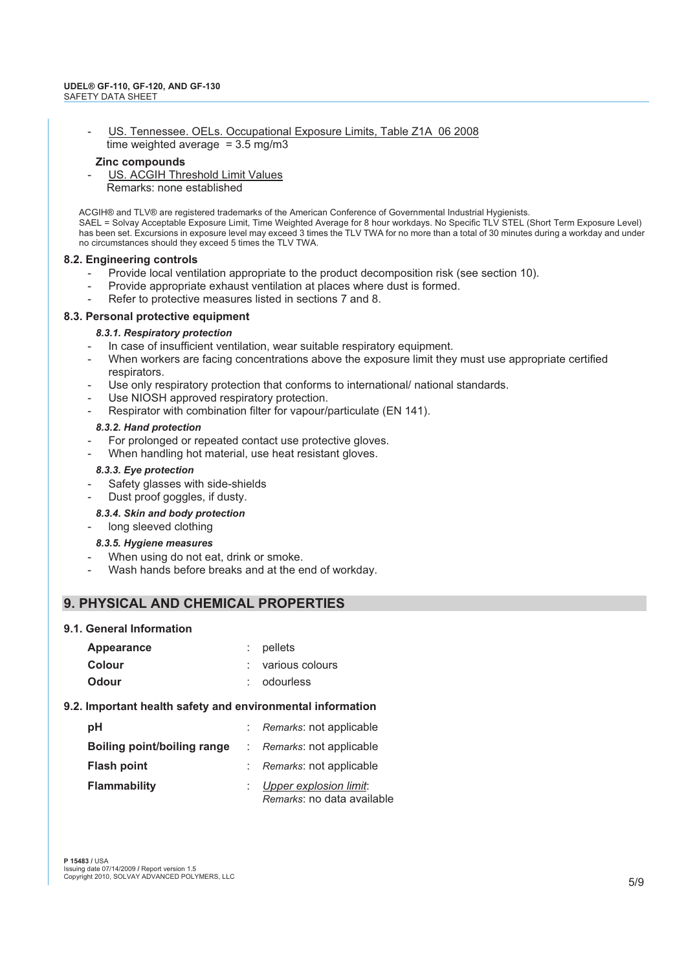US. Tennessee. OELs. Occupational Exposure Limits, Table Z1A 06 2008 time weighted average =  $3.5 \text{ mg/m}$ 3

#### **Zinc compounds**

US. ACGIH Threshold Limit Values Remarks: none established

ACGIH® and TLV® are registered trademarks of the American Conference of Governmental Industrial Hygienists. SAEL = Solvay Acceptable Exposure Limit, Time Weighted Average for 8 hour workdays. No Specific TLV STEL (Short Term Exposure Level) has been set. Excursions in exposure level may exceed 3 times the TLV TWA for no more than a total of 30 minutes during a workday and under no circumstances should they exceed 5 times the TLV TWA.

#### **8.2. Engineering controls**

- Provide local ventilation appropriate to the product decomposition risk (see section 10).
- Provide appropriate exhaust ventilation at places where dust is formed.
- Refer to protective measures listed in sections 7 and 8.

#### **8.3. Personal protective equipment**

#### *8.3.1. Respiratory protection*

- In case of insufficient ventilation, wear suitable respiratory equipment.
- When workers are facing concentrations above the exposure limit they must use appropriate certified respirators.
- Use only respiratory protection that conforms to international/ national standards.
- Use NIOSH approved respiratory protection.
- Respirator with combination filter for vapour/particulate (EN 141).

#### *8.3.2. Hand protection*

- For prolonged or repeated contact use protective gloves.
- When handling hot material, use heat resistant gloves.

#### *8.3.3. Eye protection*

- Safety glasses with side-shields
- Dust proof goggles, if dusty.

#### *8.3.4. Skin and body protection*

long sleeved clothing

#### *8.3.5. Hygiene measures*

- When using do not eat, drink or smoke.
- Wash hands before breaks and at the end of workday.

# **9. PHYSICAL AND CHEMICAL PROPERTIES**

#### **9.1. General Information**

| Appearance | $:$ pellets       |
|------------|-------------------|
| Colour     | : various colours |
| Odour      | : odourless       |

#### **9.2. Important health safety and environmental information**

| рH                          | : Remarks: not applicable                              |
|-----------------------------|--------------------------------------------------------|
| Boiling point/boiling range | : Remarks: not applicable                              |
| <b>Flash point</b>          | : Remarks: not applicable                              |
| <b>Flammability</b>         | : Upper explosion limit:<br>Remarks: no data available |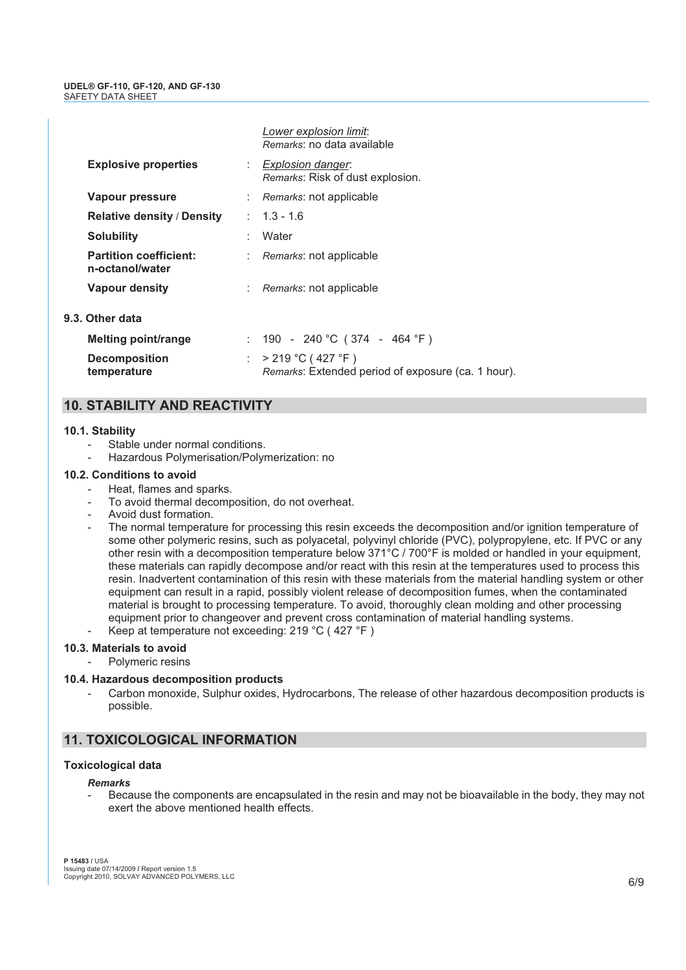|                                                  | Lower explosion limit:<br>Remarks: no data available                        |
|--------------------------------------------------|-----------------------------------------------------------------------------|
| <b>Explosive properties</b>                      | : Explosion danger:<br>Remarks: Risk of dust explosion.                     |
| Vapour pressure                                  | : Remarks: not applicable                                                   |
| <b>Relative density / Density</b>                | $: 1.3 - 1.6$                                                               |
| <b>Solubility</b>                                | Water                                                                       |
| <b>Partition coefficient:</b><br>n-octanol/water | : Remarks: not applicable                                                   |
| Vapour density                                   | : Remarks: not applicable                                                   |
| 9.3. Other data                                  |                                                                             |
| Melting point/range                              | : 190 - 240 °C (374 - 464 °F)                                               |
| <b>Decomposition</b><br>temperature              | : $> 219 °C (427 °F)$<br>Remarks: Extended period of exposure (ca. 1 hour). |

# **10. STABILITY AND REACTIVITY**

#### **10.1. Stability**

- Stable under normal conditions.
- Hazardous Polymerisation/Polymerization: no

#### **10.2. Conditions to avoid**

- Heat, flames and sparks.
- To avoid thermal decomposition, do not overheat.
- Avoid dust formation.
- The normal temperature for processing this resin exceeds the decomposition and/or ignition temperature of some other polymeric resins, such as polyacetal, polyvinyl chloride (PVC), polypropylene, etc. If PVC or any other resin with a decomposition temperature below 371°C / 700°F is molded or handled in your equipment, these materials can rapidly decompose and/or react with this resin at the temperatures used to process this resin. Inadvertent contamination of this resin with these materials from the material handling system or other equipment can result in a rapid, possibly violent release of decomposition fumes, when the contaminated material is brought to processing temperature. To avoid, thoroughly clean molding and other processing equipment prior to changeover and prevent cross contamination of material handling systems.
- Keep at temperature not exceeding: 219 °C (427 °F)

#### **10.3. Materials to avoid**

Polymeric resins

# **10.4. Hazardous decomposition products**

Carbon monoxide, Sulphur oxides, Hydrocarbons, The release of other hazardous decomposition products is possible.

# **11. TOXICOLOGICAL INFORMATION**

# **Toxicological data**

# *Remarks*

- Because the components are encapsulated in the resin and may not be bioavailable in the body, they may not exert the above mentioned health effects.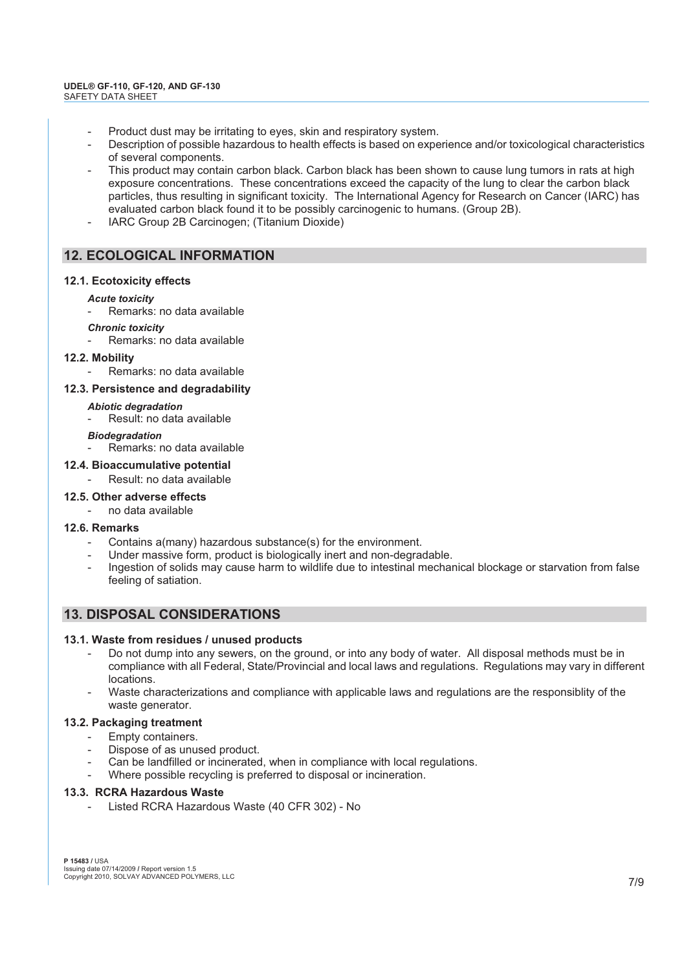- Product dust may be irritating to eyes, skin and respiratory system.
- Description of possible hazardous to health effects is based on experience and/or toxicological characteristics of several components.
- This product may contain carbon black. Carbon black has been shown to cause lung tumors in rats at high exposure concentrations. These concentrations exceed the capacity of the lung to clear the carbon black particles, thus resulting in significant toxicity. The International Agency for Research on Cancer (IARC) has evaluated carbon black found it to be possibly carcinogenic to humans. (Group 2B).
- IARC Group 2B Carcinogen; (Titanium Dioxide)

# **12. ECOLOGICAL INFORMATION**

### **12.1. Ecotoxicity effects**

- *Acute toxicity*
- Remarks: no data available
- *Chronic toxicity*
- Remarks: no data available
- **12.2. Mobility**
	- Remarks: no data available

# **12.3. Persistence and degradability**

- *Abiotic degradation*
- Result: no data available

#### *Biodegradation*

Remarks: no data available

### **12.4. Bioaccumulative potential**

Result: no data available

# **12.5. Other adverse effects**

- no data available

# **12.6. Remarks**

- Contains a(many) hazardous substance(s) for the environment.
- Under massive form, product is biologically inert and non-degradable.
- Ingestion of solids may cause harm to wildlife due to intestinal mechanical blockage or starvation from false feeling of satiation.

# **13. DISPOSAL CONSIDERATIONS**

# **13.1. Waste from residues / unused products**

- Do not dump into any sewers, on the ground, or into any body of water. All disposal methods must be in compliance with all Federal, State/Provincial and local laws and regulations. Regulations may vary in different locations.
- Waste characterizations and compliance with applicable laws and regulations are the responsiblity of the waste generator.

### **13.2. Packaging treatment**

- Empty containers.
- Dispose of as unused product.
- Can be landfilled or incinerated, when in compliance with local regulations.
- Where possible recycling is preferred to disposal or incineration.

#### **13.3. RCRA Hazardous Waste**

- Listed RCRA Hazardous Waste (40 CFR 302) - No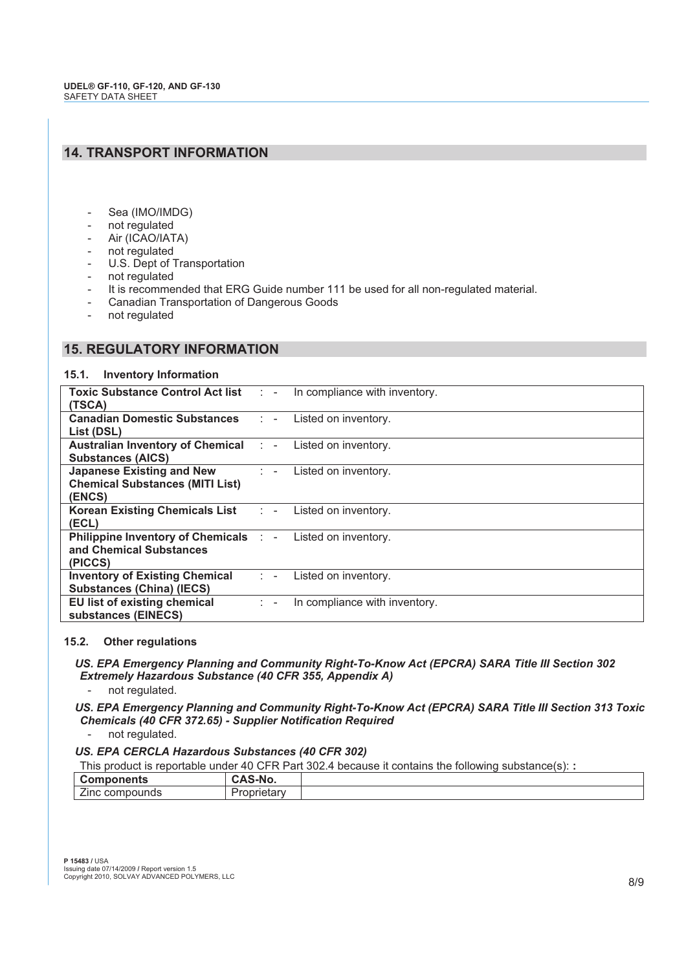# **14. TRANSPORT INFORMATION**

- Sea (IMO/IMDG)
- not regulated
- Air (ICAO/IATA)
- not regulated
- U.S. Dept of Transportation
- not regulated
- It is recommended that ERG Guide number 111 be used for all non-regulated material.
- Canadian Transportation of Dangerous Goods
- not regulated

# **15. REGULATORY INFORMATION**

#### **15.1. Inventory Information**

|                                                                                                | Toxic Substance Control Act list : - In compliance with inventory. |  |
|------------------------------------------------------------------------------------------------|--------------------------------------------------------------------|--|
| (TSCA)                                                                                         |                                                                    |  |
| <b>Canadian Domestic Substances Fig. 4. Example 1.5 Canadian Domestic Substances Fig. 2.1.</b> |                                                                    |  |
| List (DSL)                                                                                     |                                                                    |  |
| <b>Australian Inventory of Chemical : - Listed on inventory.</b>                               |                                                                    |  |
| <b>Substances (AICS)</b>                                                                       |                                                                    |  |
| <b>Japanese Existing and New Fig. 2.1.</b> Listed on inventory.                                |                                                                    |  |
| <b>Chemical Substances (MITI List)</b>                                                         |                                                                    |  |
| (ENCS)                                                                                         |                                                                    |  |
| <b>Korean Existing Chemicals List Fig. 2. Existed on inventory.</b>                            |                                                                    |  |
| (ECL)                                                                                          |                                                                    |  |
| <b>Philippine Inventory of Chemicals : - Listed on inventory.</b>                              |                                                                    |  |
| and Chemical Substances                                                                        |                                                                    |  |
| (PICCS)                                                                                        |                                                                    |  |
| <b>Inventory of Existing Chemical Fig. 1. Existed on inventory.</b>                            |                                                                    |  |
| <b>Substances (China) (IECS)</b>                                                               |                                                                    |  |
| EU list of existing chemical                                                                   | In compliance with inventory.<br>$1 - 5 - 1$                       |  |
| substances (EINECS)                                                                            |                                                                    |  |

#### **15.2. Other regulations**

 *US. EPA Emergency Planning and Community Right-To-Know Act (EPCRA) SARA Title III Section 302 Extremely Hazardous Substance (40 CFR 355, Appendix A)*

not regulated.

 *US. EPA Emergency Planning and Community Right-To-Know Act (EPCRA) SARA Title III Section 313 Toxic Chemicals (40 CFR 372.65) - Supplier Notification Required*

not regulated.

# *US. EPA CERCLA Hazardous Substances (40 CFR 302)*

|  | This product is reportable under 40 CFR Part 302.4 because it contains the following substance(s): : |
|--|------------------------------------------------------------------------------------------------------|
|  |                                                                                                      |

| ╭<br>.<br>11 เร<br>$\checkmark$    | IVU. |  |
|------------------------------------|------|--|
| $\overline{\phantom{a}}$<br>הטווי: |      |  |
|                                    |      |  |